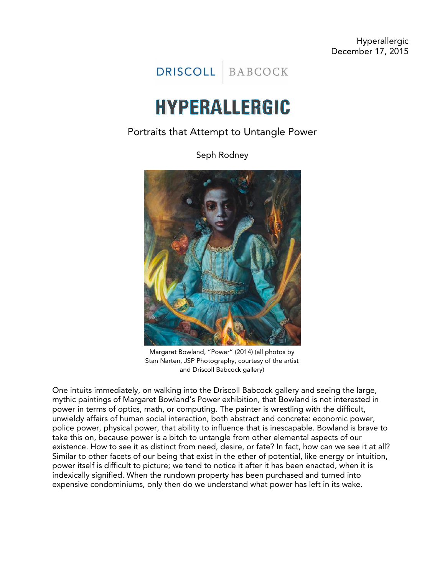DRISCOLL BABCOCK

## **HYPERALLERGIC**

## Portraits that Attempt to Untangle Power

Seph Rodney



Margaret Bowland, "Power" (2014) (all photos by Stan Narten, JSP Photography, courtesy of the artist and Driscoll Babcock gallery)

One intuits immediately, on walking into the Driscoll Babcock gallery and seeing the large, mythic paintings of Margaret Bowland's Power exhibition, that Bowland is not interested in power in terms of optics, math, or computing. The painter is wrestling with the difficult, unwieldy affairs of human social interaction, both abstract and concrete: economic power, police power, physical power, that ability to influence that is inescapable. Bowland is brave to take this on, because power is a bitch to untangle from other elemental aspects of our existence. How to see it as distinct from need, desire, or fate? In fact, how can we see it at all? Similar to other facets of our being that exist in the ether of potential, like energy or intuition, power itself is difficult to picture; we tend to notice it after it has been enacted, when it is indexically signified. When the rundown property has been purchased and turned into expensive condominiums, only then do we understand what power has left in its wake.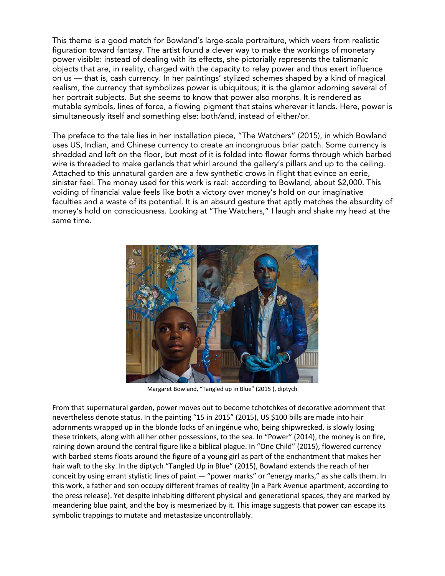This theme is a good match for Bowland's large-scale portraiture, which veers from realistic figuration toward fantasy. The artist found a clever way to make the workings of monetary power visible: instead of dealing with its effects, she pictorially represents the talismanic objects that are, in reality, charged with the capacity to relay power and thus exert influence on us — that is, cash currency. In her paintings' stylized schemes shaped by a kind of magical realism, the currency that symbolizes power is ubiquitous; it is the glamor adorning several of her portrait subjects. But she seems to know that power also morphs. It is rendered as mutable symbols, lines of force, a flowing pigment that stains wherever it lands. Here, power is simultaneously itself and something else: both/and, instead of either/or.

The preface to the tale lies in her installation piece, "The Watchers" (2015), in which Bowland uses US, Indian, and Chinese currency to create an incongruous briar patch. Some currency is shredded and left on the floor, but most of it is folded into flower forms through which barbed wire is threaded to make garlands that whirl around the gallery's pillars and up to the ceiling. Attached to this unnatural garden are a few synthetic crows in flight that evince an eerie, sinister feel. The money used for this work is real: according to Bowland, about \$2,000. This voiding of financial value feels like both a victory over money's hold on our imaginative faculties and a waste of its potential. It is an absurd gesture that aptly matches the absurdity of money's hold on consciousness. Looking at "The Watchers," I laugh and shake my head at the same time.



Margaret Bowland, "Tangled up in Blue" (2015 ), diptych

From that supernatural garden, power moves out to become tchotchkes of decorative adornment that nevertheless denote status. In the painting "15 in 2015" (2015), US \$100 bills are made into hair adornments wrapped up in the blonde locks of an ingénue who, being shipwrecked, is slowly losing these trinkets, along with all her other possessions, to the sea. In "Power" (2014), the money is on fire, raining down around the central figure like a biblical plague. In "One Child" (2015), flowered currency with barbed stems floats around the figure of a young girl as part of the enchantment that makes her hair waft to the sky. In the diptych "Tangled Up in Blue" (2015), Bowland extends the reach of her conceit by using errant stylistic lines of paint — "power marks" or "energy marks," as she calls them. In this work, a father and son occupy different frames of reality (in a Park Avenue apartment, according to the press release). Yet despite inhabiting different physical and generational spaces, they are marked by meandering blue paint, and the boy is mesmerized by it. This image suggests that power can escape its symbolic trappings to mutate and metastasize uncontrollably.